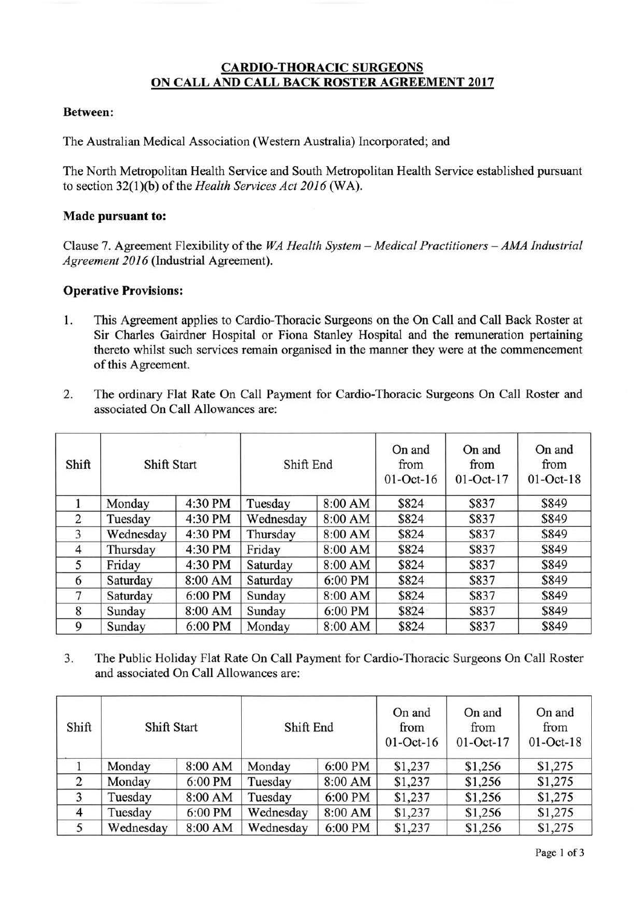## **CARDIO-THORACIC SURGEONS ON CALL AND CALL BACK ROSTER AGREEMENT 2017**

## **Between:**

The Australian Medical Association (Western Australia) Incorporated; and

The North Metropolitan Health Service and South Metropolitan Health Service established pursuant to section 32(l)(b) of the *Health Services Act 2016* (WA).

## **Made pursuant to:**

Clause 7. Agreement Flexibility of the *WA Health System - Medical Practitioners - AMA Industrial Agreement 2016* (Industrial Agreement).

## **Operative Provisions:**

- 1. This Agreement applies to Cardio-Thoracic Surgeons on the On Call and Call Back Roster at Sir Charles Gairdner Hospital or Fiona Stanley Hospital and the remuneration pertaining thereto whilst such services remain organised in the manner they were at the commencement of this Agreement.
- 2. The ordinary Flat Rate On Call Payment for Cardio-Thoracic Surgeons On Call Roster and associated On Call Allowances are:

| Shift          | Shift Start |         | Shift End |         | On and<br>from<br>$01$ -Oct- $16$ | On and<br>from<br>$01-Oct-17$ | On and<br>from<br>$01$ -Oct-18 |
|----------------|-------------|---------|-----------|---------|-----------------------------------|-------------------------------|--------------------------------|
|                | Monday      | 4:30 PM | Tuesday   | 8:00 AM | \$824                             | \$837                         | \$849                          |
| 2              | Tuesday     | 4:30 PM | Wednesday | 8:00 AM | \$824                             | \$837                         | \$849                          |
| 3              | Wednesday   | 4:30 PM | Thursday  | 8:00 AM | \$824                             | \$837                         | \$849                          |
| $\overline{4}$ | Thursday    | 4:30 PM | Friday    | 8:00 AM | \$824                             | \$837                         | \$849                          |
| 5              | Friday      | 4:30 PM | Saturday  | 8:00 AM | \$824                             | \$837                         | \$849                          |
| 6              | Saturday    | 8:00 AM | Saturday  | 6:00 PM | \$824                             | \$837                         | \$849                          |
| 7              | Saturday    | 6:00 PM | Sunday    | 8:00 AM | \$824                             | \$837                         | \$849                          |
| 8              | Sunday      | 8:00 AM | Sunday    | 6:00 PM | \$824                             | \$837                         | \$849                          |
| 9              | Sunday      | 6:00 PM | Monday    | 8:00 AM | \$824                             | \$837                         | \$849                          |

3. The Public Holiday Flat Rate On Call Payment for Cardio-Thoracic Surgeons On Call Roster and associated On Call Allowances are:

| Shift          | Shift Start |         | Shift End |         | On and<br>from<br>$01$ -Oct- $16$ | On and<br>from<br>$01$ -Oct-17 | On and<br>from<br>$01$ -Oct-18 |
|----------------|-------------|---------|-----------|---------|-----------------------------------|--------------------------------|--------------------------------|
|                | Monday      | 8:00 AM | Monday    | 6:00 PM | \$1,237                           | \$1,256                        | \$1,275                        |
| 2              | Monday      | 6:00 PM | Tuesday   | 8:00 AM | \$1,237                           | \$1,256                        | \$1,275                        |
| 3              | Tuesday     | 8:00 AM | Tuesday   | 6:00 PM | \$1,237                           | \$1,256                        | \$1,275                        |
| $\overline{4}$ | Tuesday     | 6:00 PM | Wednesday | 8:00 AM | \$1,237                           | \$1,256                        | \$1,275                        |
| 5              | Wednesday   | 8:00 AM | Wednesday | 6:00 PM | \$1,237                           | \$1,256                        | \$1,275                        |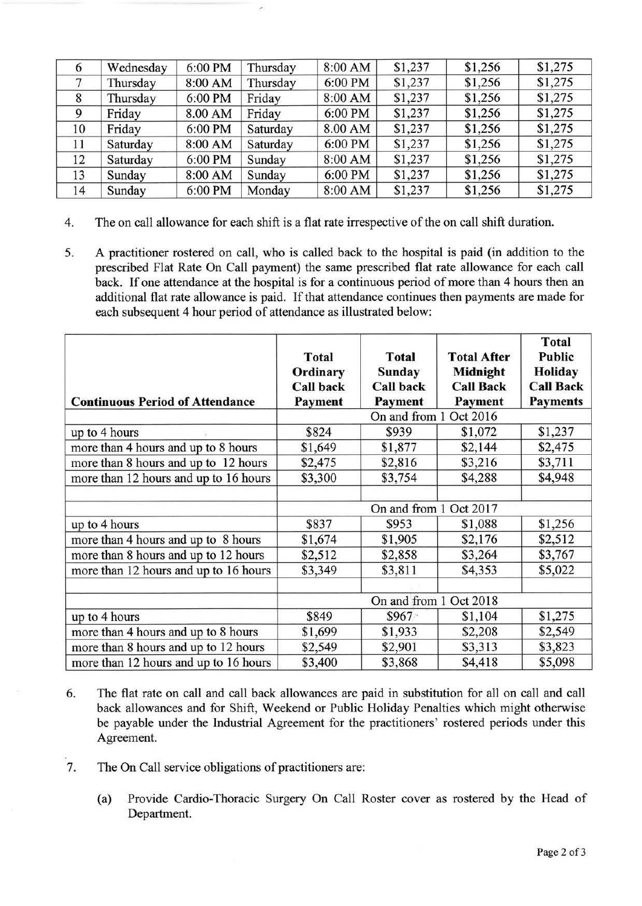| 6  | Wednesday | 6:00 PM | Thursday | 8:00 AM | \$1,237 | \$1,256 | \$1,275 |
|----|-----------|---------|----------|---------|---------|---------|---------|
|    | Thursday  | 8:00 AM | Thursday | 6:00 PM | \$1,237 | \$1,256 | \$1,275 |
| 8  | Thursday  | 6:00 PM | Friday   | 8:00 AM | \$1,237 | \$1,256 | \$1,275 |
| 9  | Friday    | 8.00 AM | Friday   | 6:00 PM | \$1,237 | \$1,256 | \$1,275 |
| 10 | Friday    | 6:00 PM | Saturday | 8.00 AM | \$1,237 | \$1,256 | \$1,275 |
| 11 | Saturday  | 8:00 AM | Saturday | 6:00 PM | \$1,237 | \$1,256 | \$1,275 |
| 12 | Saturday  | 6:00 PM | Sunday   | 8:00 AM | \$1,237 | \$1,256 | \$1,275 |
| 13 | Sunday    | 8:00 AM | Sunday   | 6:00 PM | \$1,237 | \$1,256 | \$1,275 |
| 14 | Sunday    | 6:00 PM | Monday   | 8:00 AM | \$1,237 | \$1,256 | \$1,275 |

- 4. The on call allowance for each shift is a flat rate irrespective of the on call shift duration.
- 5. A practitioner rostered on call, who is called back to the hospital is paid (in addition to the prescribed Flat Rate On Call payment) the same prescribed flat rate allowance for each call back. If one attendance at the hospital is for a continuous period of more than 4 hours then an additional flat rate allowance is paid. If that attendance continues then payments are made for each subsequent 4 hour period of attendance as illustrated below:

| <b>Continuous Period of Attendance</b> | <b>Total</b><br>Ordinary<br><b>Call back</b><br>Payment | Total<br><b>Sunday</b><br><b>Call back</b><br>Payment | <b>Total After</b><br>Midnight<br><b>Call Back</b><br>Payment | <b>Total</b><br>Public<br><b>Holiday</b><br><b>Call Back</b><br><b>Payments</b> |  |
|----------------------------------------|---------------------------------------------------------|-------------------------------------------------------|---------------------------------------------------------------|---------------------------------------------------------------------------------|--|
|                                        |                                                         | On and from 1 Oct 2016                                |                                                               |                                                                                 |  |
| up to 4 hours                          | \$824                                                   | \$939                                                 | \$1,072                                                       | \$1,237                                                                         |  |
| more than 4 hours and up to 8 hours    | \$1,649                                                 | \$1,877                                               | \$2,144                                                       | \$2,475                                                                         |  |
| more than 8 hours and up to 12 hours   | \$2,475                                                 | \$2,816                                               | \$3,216                                                       | \$3,711                                                                         |  |
| more than 12 hours and up to 16 hours  | \$3,300                                                 | \$3,754                                               | \$4,288                                                       | \$4,948                                                                         |  |
|                                        | On and from 1 Oct 2017                                  |                                                       |                                                               |                                                                                 |  |
| up to 4 hours                          | \$837                                                   | \$953                                                 | \$1,088                                                       | \$1,256                                                                         |  |
| more than 4 hours and up to 8 hours    | \$1,674                                                 | \$1,905                                               | \$2,176                                                       | \$2,512                                                                         |  |
| more than 8 hours and up to 12 hours   | \$2,512                                                 | \$2,858                                               | \$3,264                                                       | \$3,767                                                                         |  |
| more than 12 hours and up to 16 hours  | \$3,349                                                 | \$3,811                                               | \$4,353                                                       | \$5,022                                                                         |  |
|                                        |                                                         | On and from 1 Oct 2018                                |                                                               |                                                                                 |  |
| up to 4 hours                          | \$849                                                   | \$967                                                 | \$1,104                                                       | \$1,275                                                                         |  |
| more than 4 hours and up to 8 hours    | \$1,699                                                 | \$1,933                                               | \$2,208                                                       | \$2,549                                                                         |  |
| more than 8 hours and up to 12 hours   | \$2,549                                                 | \$2,901                                               | \$3,313                                                       | \$3,823                                                                         |  |
| more than 12 hours and up to 16 hours  | \$3,400                                                 | \$3,868                                               | \$4,418                                                       | \$5,098                                                                         |  |

- 6. The flat rate on call and call back allowances are paid in substitution for all on call and call back allowances and for Shift, Weekend or Public Holiday Penalties which might otherwise be payable under the Industrial Agreement for the practitioners' rostered periods under this Agreement.
- 7. The On Call service obligations of practitioners are:
	- (a) Provide Cardio-Thoracic Surgery On Call Roster cover as rostered by the Head of Department.